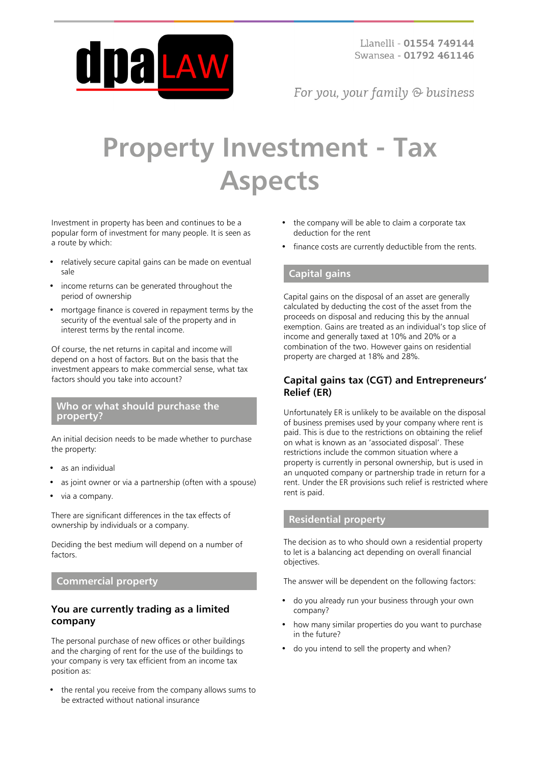

For you, your family  $\odot$  business

# **Property Investment - Tax Aspects**

Investment in property has been and continues to be a popular form of investment for many people. It is seen as a route by which:

- relatively secure capital gains can be made on eventual sale
- income returns can be generated throughout the period of ownership
- mortgage finance is covered in repayment terms by the security of the eventual sale of the property and in interest terms by the rental income.

Of course, the net returns in capital and income will depend on a host of factors. But on the basis that the investment appears to make commercial sense, what tax factors should you take into account?

#### **Who or what should purchase the property?**

An initial decision needs to be made whether to purchase the property:

- as an individual
- as joint owner or via a partnership (often with a spouse)
- via a company.

There are significant differences in the tax effects of ownership by individuals or a company.

Deciding the best medium will depend on a number of factors

#### **Commercial property**

## **You are currently trading as a limited company**

The personal purchase of new offices or other buildings and the charging of rent for the use of the buildings to your company is very tax efficient from an income tax position as:

the rental you receive from the company allows sums to be extracted without national insurance

- the company will be able to claim a corporate tax deduction for the rent
- finance costs are currently deductible from the rents.

#### **Capital gains**

Capital gains on the disposal of an asset are generally calculated by deducting the cost of the asset from the proceeds on disposal and reducing this by the annual exemption. Gains are treated as an individual's top slice of income and generally taxed at 10% and 20% or a combination of the two. However gains on residential property are charged at 18% and 28%.

#### **Capital gains tax (CGT) and Entrepreneurs' Relief (ER)**

Unfortunately ER is unlikely to be available on the disposal of business premises used by your company where rent is paid. This is due to the restrictions on obtaining the relief on what is known as an 'associated disposal'. These restrictions include the common situation where a property is currently in personal ownership, but is used in an unquoted company or partnership trade in return for a rent. Under the ER provisions such relief is restricted where rent is paid.

## **Residential property**

The decision as to who should own a residential property to let is a balancing act depending on overall financial objectives.

The answer will be dependent on the following factors:

- do you already run your business through your own company?
- how many similar properties do you want to purchase in the future?
- do you intend to sell the property and when?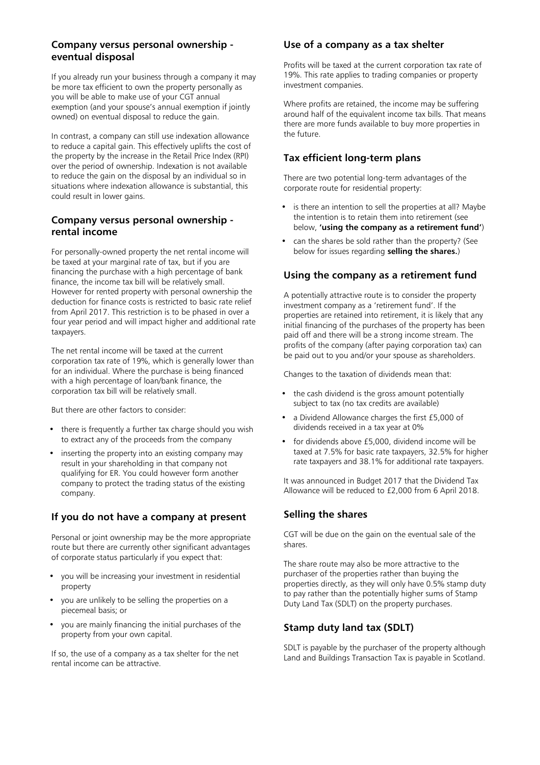# **Company versus personal ownership eventual disposal**

If you already run your business through a company it may be more tax efficient to own the property personally as you will be able to make use of your CGT annual exemption (and your spouse's annual exemption if jointly owned) on eventual disposal to reduce the gain.

In contrast, a company can still use indexation allowance to reduce a capital gain. This effectively uplifts the cost of the property by the increase in the Retail Price Index (RPI) over the period of ownership. Indexation is not available to reduce the gain on the disposal by an individual so in situations where indexation allowance is substantial, this could result in lower gains.

#### **Company versus personal ownership rental income**

For personally-owned property the net rental income will be taxed at your marginal rate of tax, but if you are financing the purchase with a high percentage of bank finance, the income tax bill will be relatively small. However for rented property with personal ownership the deduction for finance costs is restricted to basic rate relief from April 2017. This restriction is to be phased in over a four year period and will impact higher and additional rate taxpayers.

The net rental income will be taxed at the current corporation tax rate of 19%, which is generally lower than for an individual. Where the purchase is being financed with a high percentage of loan/bank finance, the corporation tax bill will be relatively small.

But there are other factors to consider:

- there is frequently a further tax charge should you wish to extract any of the proceeds from the company
- inserting the property into an existing company may result in your shareholding in that company not qualifying for ER. You could however form another company to protect the trading status of the existing company.

# **If you do not have a company at present**

Personal or joint ownership may be the more appropriate route but there are currently other significant advantages of corporate status particularly if you expect that:

- you will be increasing your investment in residential property
- you are unlikely to be selling the properties on a piecemeal basis; or
- you are mainly financing the initial purchases of the property from your own capital.

If so, the use of a company as a tax shelter for the net rental income can be attractive.

#### **Use of a company as a tax shelter**

Profits will be taxed at the current corporation tax rate of 19%. This rate applies to trading companies or property investment companies.

Where profits are retained, the income may be suffering around half of the equivalent income tax bills. That means there are more funds available to buy more properties in the future.

# **Tax efficient long-term plans**

There are two potential long-term advantages of the corporate route for residential property:

- is there an intention to sell the properties at all? Maybe the intention is to retain them into retirement (see below, **'using the company as a retirement fund'**)
- can the shares be sold rather than the property? (See below for issues regarding **selling the shares.**)

# **Using the company as a retirement fund**

A potentially attractive route is to consider the property investment company as a 'retirement fund'. If the properties are retained into retirement, it is likely that any initial financing of the purchases of the property has been paid off and there will be a strong income stream. The profits of the company (after paying corporation tax) can be paid out to you and/or your spouse as shareholders.

Changes to the taxation of dividends mean that:

- the cash dividend is the gross amount potentially subject to tax (no tax credits are available)
- a Dividend Allowance charges the first £5,000 of dividends received in a tax year at 0%
- for dividends above £5,000, dividend income will be taxed at 7.5% for basic rate taxpayers, 32.5% for higher rate taxpayers and 38.1% for additional rate taxpayers.

It was announced in Budget 2017 that the Dividend Tax Allowance will be reduced to £2,000 from 6 April 2018.

## **Selling the shares**

CGT will be due on the gain on the eventual sale of the shares.

The share route may also be more attractive to the purchaser of the properties rather than buying the properties directly, as they will only have 0.5% stamp duty to pay rather than the potentially higher sums of Stamp Duty Land Tax (SDLT) on the property purchases.

# **Stamp duty land tax (SDLT)**

SDLT is payable by the purchaser of the property although Land and Buildings Transaction Tax is payable in Scotland.